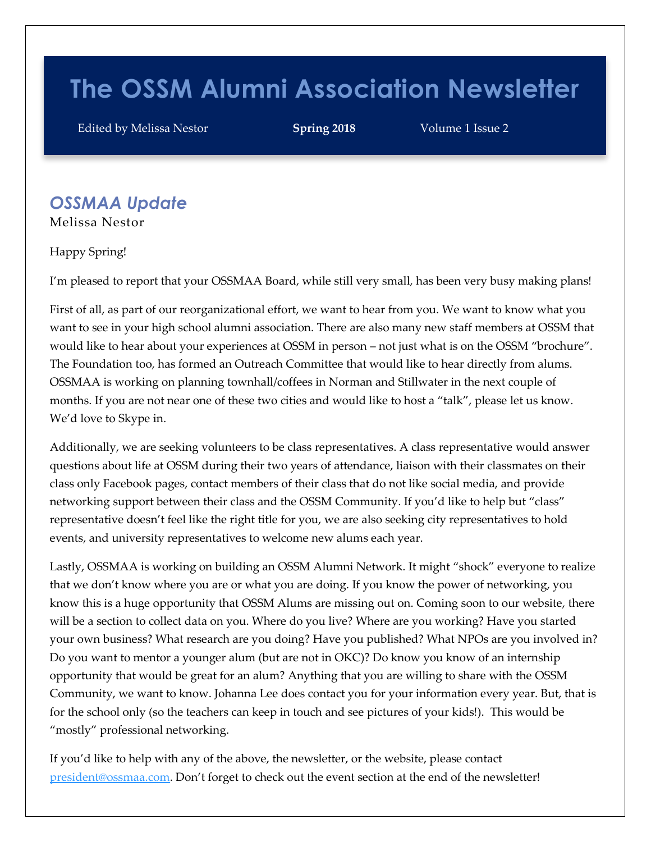# **The OSSM Alumni Association Newsletter**

Edited by Melissa Nestor **Spring 2018** Volume 1 Issue 2

## *OSSMAA Update*

Melissa Nestor

Happy Spring!

I'm pleased to report that your OSSMAA Board, while still very small, has been very busy making plans!

First of all, as part of our reorganizational effort, we want to hear from you. We want to know what you want to see in your high school alumni association. There are also many new staff members at OSSM that would like to hear about your experiences at OSSM in person – not just what is on the OSSM "brochure". The Foundation too, has formed an Outreach Committee that would like to hear directly from alums. OSSMAA is working on planning townhall/coffees in Norman and Stillwater in the next couple of months. If you are not near one of these two cities and would like to host a "talk", please let us know. We'd love to Skype in.

Additionally, we are seeking volunteers to be class representatives. A class representative would answer questions about life at OSSM during their two years of attendance, liaison with their classmates on their class only Facebook pages, contact members of their class that do not like social media, and provide networking support between their class and the OSSM Community. If you'd like to help but "class" representative doesn't feel like the right title for you, we are also seeking city representatives to hold events, and university representatives to welcome new alums each year.

Lastly, OSSMAA is working on building an OSSM Alumni Network. It might "shock" everyone to realize that we don't know where you are or what you are doing. If you know the power of networking, you know this is a huge opportunity that OSSM Alums are missing out on. Coming soon to our website, there will be a section to collect data on you. Where do you live? Where are you working? Have you started your own business? What research are you doing? Have you published? What NPOs are you involved in? Do you want to mentor a younger alum (but are not in OKC)? Do know you know of an internship opportunity that would be great for an alum? Anything that you are willing to share with the OSSM Community, we want to know. Johanna Lee does contact you for your information every year. But, that is for the school only (so the teachers can keep in touch and see pictures of your kids!). This would be "mostly" professional networking.

If you'd like to help with any of the above, the newsletter, or the website, please contact [president@ossmaa.com](mailto:president@ossmaa.com). Don't forget to check out the event section at the end of the newsletter!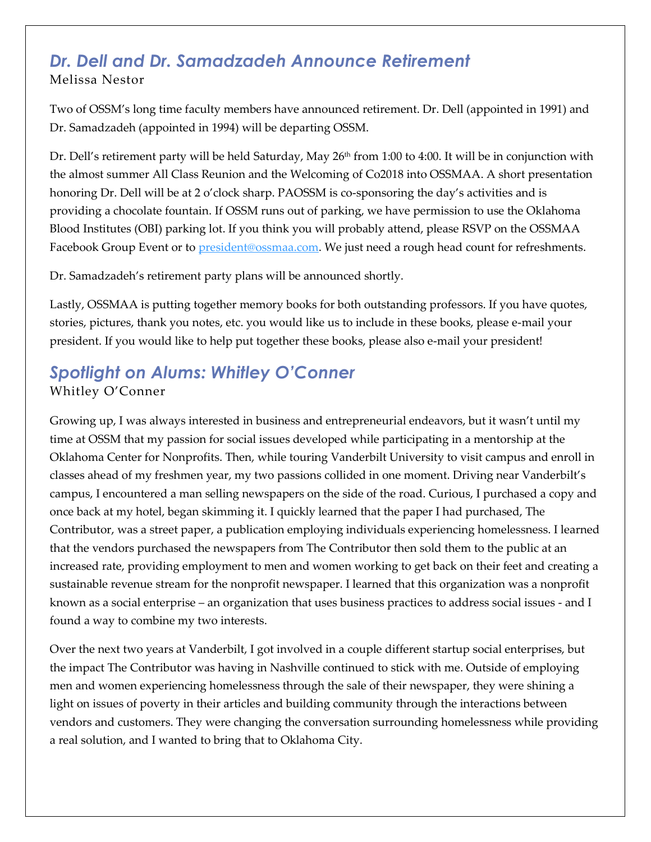## *Dr. Dell and Dr. Samadzadeh Announce Retirement* Melissa Nestor

Two of OSSM's long time faculty members have announced retirement. Dr. Dell (appointed in 1991) and Dr. Samadzadeh (appointed in 1994) will be departing OSSM.

Dr. Dell's retirement party will be held Saturday, May 26<sup>th</sup> from 1:00 to 4:00. It will be in conjunction with the almost summer All Class Reunion and the Welcoming of Co2018 into OSSMAA. A short presentation honoring Dr. Dell will be at 2 o'clock sharp. PAOSSM is co-sponsoring the day's activities and is providing a chocolate fountain. If OSSM runs out of parking, we have permission to use the Oklahoma Blood Institutes (OBI) parking lot. If you think you will probably attend, please RSVP on the OSSMAA Facebook Group Event or t[o president@ossmaa.com.](mailto:president@ossmaa.com) We just need a rough head count for refreshments.

Dr. Samadzadeh's retirement party plans will be announced shortly.

Lastly, OSSMAA is putting together memory books for both outstanding professors. If you have quotes, stories, pictures, thank you notes, etc. you would like us to include in these books, please e-mail your president. If you would like to help put together these books, please also e-mail your president!

## *Spotlight on Alums: Whitley O'Conner* Whitley O'Conner

Growing up, I was always interested in business and entrepreneurial endeavors, but it wasn't until my time at OSSM that my passion for social issues developed while participating in a mentorship at the Oklahoma Center for Nonprofits. Then, while touring Vanderbilt University to visit campus and enroll in classes ahead of my freshmen year, my two passions collided in one moment. Driving near Vanderbilt's campus, I encountered a man selling newspapers on the side of the road. Curious, I purchased a copy and once back at my hotel, began skimming it. I quickly learned that the paper I had purchased, The Contributor, was a street paper, a publication employing individuals experiencing homelessness. I learned that the vendors purchased the newspapers from The Contributor then sold them to the public at an increased rate, providing employment to men and women working to get back on their feet and creating a sustainable revenue stream for the nonprofit newspaper. I learned that this organization was a nonprofit known as a social enterprise – an organization that uses business practices to address social issues - and I found a way to combine my two interests.

Over the next two years at Vanderbilt, I got involved in a couple different startup social enterprises, but the impact The Contributor was having in Nashville continued to stick with me. Outside of employing men and women experiencing homelessness through the sale of their newspaper, they were shining a light on issues of poverty in their articles and building community through the interactions between vendors and customers. They were changing the conversation surrounding homelessness while providing a real solution, and I wanted to bring that to Oklahoma City.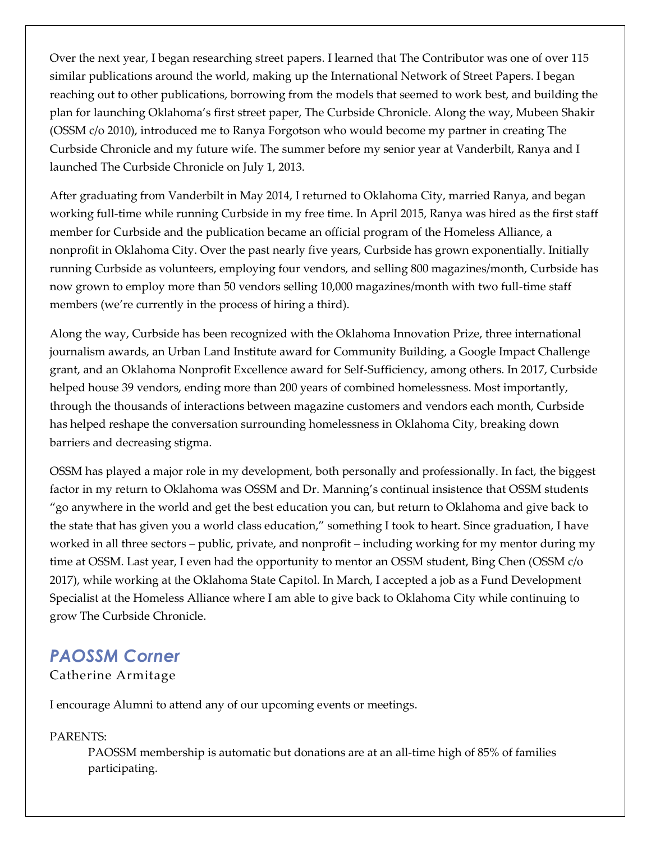Over the next year, I began researching street papers. I learned that The Contributor was one of over 115 similar publications around the world, making up the International Network of Street Papers. I began reaching out to other publications, borrowing from the models that seemed to work best, and building the plan for launching Oklahoma's first street paper, The Curbside Chronicle. Along the way, Mubeen Shakir (OSSM c/o 2010), introduced me to Ranya Forgotson who would become my partner in creating The Curbside Chronicle and my future wife. The summer before my senior year at Vanderbilt, Ranya and I launched The Curbside Chronicle on July 1, 2013.

After graduating from Vanderbilt in May 2014, I returned to Oklahoma City, married Ranya, and began working full-time while running Curbside in my free time. In April 2015, Ranya was hired as the first staff member for Curbside and the publication became an official program of the Homeless Alliance, a nonprofit in Oklahoma City. Over the past nearly five years, Curbside has grown exponentially. Initially running Curbside as volunteers, employing four vendors, and selling 800 magazines/month, Curbside has now grown to employ more than 50 vendors selling 10,000 magazines/month with two full-time staff members (we're currently in the process of hiring a third).

Along the way, Curbside has been recognized with the Oklahoma Innovation Prize, three international journalism awards, an Urban Land Institute award for Community Building, a Google Impact Challenge grant, and an Oklahoma Nonprofit Excellence award for Self-Sufficiency, among others. In 2017, Curbside helped house 39 vendors, ending more than 200 years of combined homelessness. Most importantly, through the thousands of interactions between magazine customers and vendors each month, Curbside has helped reshape the conversation surrounding homelessness in Oklahoma City, breaking down barriers and decreasing stigma.

OSSM has played a major role in my development, both personally and professionally. In fact, the biggest factor in my return to Oklahoma was OSSM and Dr. Manning's continual insistence that OSSM students "go anywhere in the world and get the best education you can, but return to Oklahoma and give back to the state that has given you a world class education," something I took to heart. Since graduation, I have worked in all three sectors – public, private, and nonprofit – including working for my mentor during my time at OSSM. Last year, I even had the opportunity to mentor an OSSM student, Bing Chen (OSSM c/o 2017), while working at the Oklahoma State Capitol. In March, I accepted a job as a Fund Development Specialist at the Homeless Alliance where I am able to give back to Oklahoma City while continuing to grow The Curbside Chronicle.

## *PAOSSM Corner*

#### Catherine Armitage

I encourage Alumni to attend any of our upcoming events or meetings.

#### PARENTS:

PAOSSM membership is automatic but donations are at an all-time high of 85% of families participating.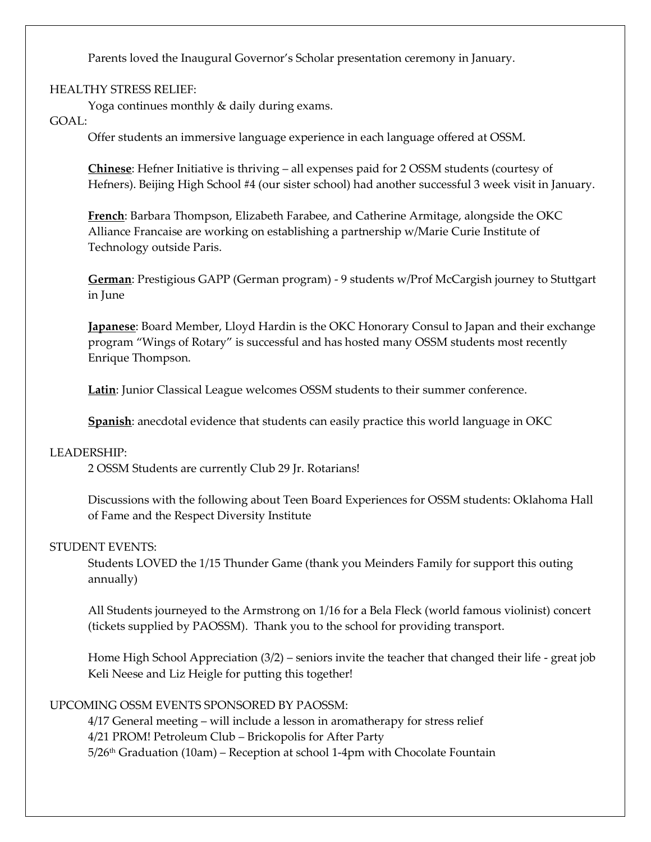Parents loved the Inaugural Governor's Scholar presentation ceremony in January.

#### HEALTHY STRESS RELIEF:

Yoga continues monthly & daily during exams.

#### GOAL:

Offer students an immersive language experience in each language offered at OSSM.

**Chinese**: Hefner Initiative is thriving – all expenses paid for 2 OSSM students (courtesy of Hefners). Beijing High School #4 (our sister school) had another successful 3 week visit in January.

**French**: Barbara Thompson, Elizabeth Farabee, and Catherine Armitage, alongside the OKC Alliance Francaise are working on establishing a partnership w/Marie Curie Institute of Technology outside Paris.

**German**: Prestigious GAPP (German program) - 9 students w/Prof McCargish journey to Stuttgart in June

**Japanese**: Board Member, Lloyd Hardin is the OKC Honorary Consul to Japan and their exchange program "Wings of Rotary" is successful and has hosted many OSSM students most recently Enrique Thompson.

**Latin**: Junior Classical League welcomes OSSM students to their summer conference.

**Spanish**: anecdotal evidence that students can easily practice this world language in OKC

#### LEADERSHIP:

2 OSSM Students are currently Club 29 Jr. Rotarians!

Discussions with the following about Teen Board Experiences for OSSM students: Oklahoma Hall of Fame and the Respect Diversity Institute

#### STUDENT EVENTS:

Students LOVED the 1/15 Thunder Game (thank you Meinders Family for support this outing annually)

All Students journeyed to the Armstrong on 1/16 for a Bela Fleck (world famous violinist) concert (tickets supplied by PAOSSM). Thank you to the school for providing transport.

Home High School Appreciation (3/2) – seniors invite the teacher that changed their life - great job Keli Neese and Liz Heigle for putting this together!

#### UPCOMING OSSM EVENTS SPONSORED BY PAOSSM:

4/17 General meeting – will include a lesson in aromatherapy for stress relief 4/21 PROM! Petroleum Club – Brickopolis for After Party  $5/26$ <sup>th</sup> Graduation (10am) – Reception at school 1-4pm with Chocolate Fountain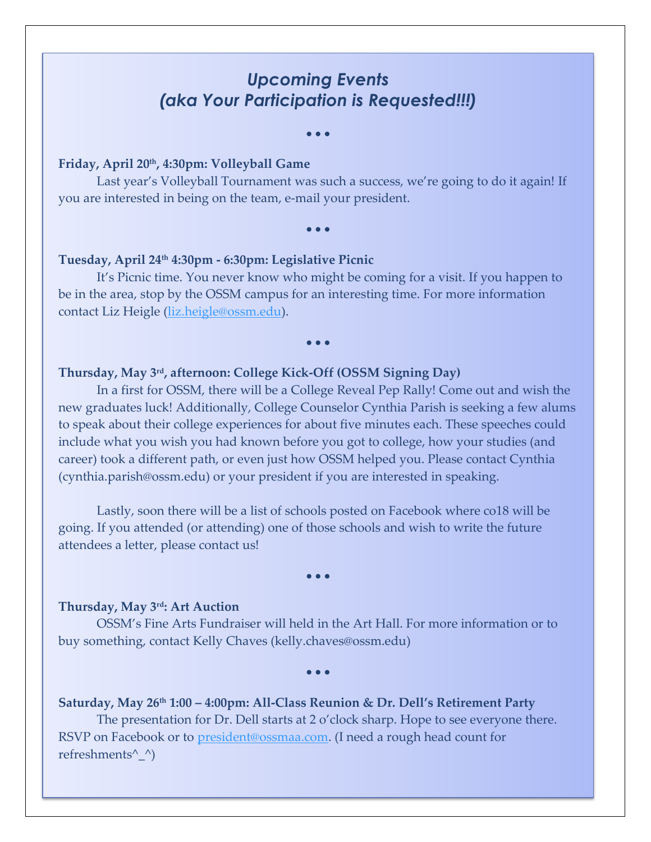## *Upcoming Events (aka Your Participation is Requested!!!)*

• • •

#### **Friday, April 20th, 4:30pm: Volleyball Game**

Last year's Volleyball Tournament was such a success, we're going to do it again! If you are interested in being on the team, e-mail your president.

#### • • •

#### **Tuesday, April 24th 4:30pm - 6:30pm: Legislative Picnic**

It's Picnic time. You never know who might be coming for a visit. If you happen to be in the area, stop by the OSSM campus for an interesting time. For more information contact Liz Heigle [\(liz.heigle@ossm.edu\)](mailto:liz.heigle@ossm.edu).

#### • • •

#### **Thursday, May 3rd, afternoon: College Kick-Off (OSSM Signing Day)**

In a first for OSSM, there will be a College Reveal Pep Rally! Come out and wish the new graduates luck! Additionally, College Counselor Cynthia Parish is seeking a few alums to speak about their college experiences for about five minutes each. These speeches could include what you wish you had known before you got to college, how your studies (and career) took a different path, or even just how OSSM helped you. Please contact Cynthia (cynthia.parish@ossm.edu) or your president if you are interested in speaking.

Lastly, soon there will be a list of schools posted on Facebook where co18 will be going. If you attended (or attending) one of those schools and wish to write the future attendees a letter, please contact us!

#### • • •

#### **Thursday, May 3rd: Art Auction**

OSSM's Fine Arts Fundraiser will held in the Art Hall. For more information or to buy something, contact Kelly Chaves (kelly.chaves@ossm.edu)

• • •

**Saturday, May 26th 1:00 – 4:00pm: All-Class Reunion & Dr. Dell's Retirement Party** The presentation for Dr. Dell starts at 2 o'clock sharp. Hope to see everyone there. RSVP on Facebook or to <u>president@ossmaa.com</u>. (I need a rough head count for refreshments^\_^)